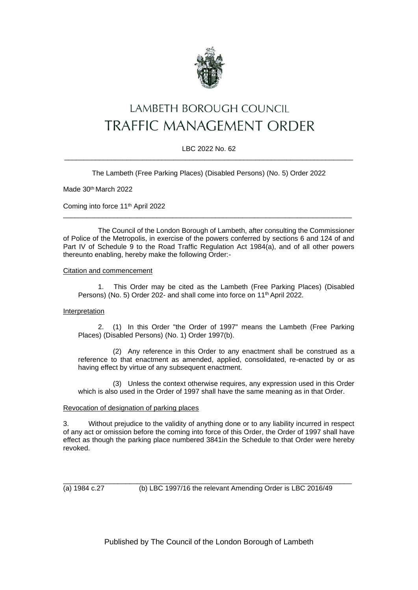

# **LAMBETH BOROUGH COUNCIL TRAFFIC MANAGEMENT ORDER**

### LBC 2022 No. 62 \_\_\_\_\_\_\_\_\_\_\_\_\_\_\_\_\_\_\_\_\_\_\_\_\_\_\_\_\_\_\_\_\_\_\_\_\_\_\_\_\_\_\_\_\_\_\_\_\_\_\_\_\_\_\_\_\_\_\_\_\_\_\_\_\_\_\_\_\_\_\_\_\_\_

The Lambeth (Free Parking Places) (Disabled Persons) (No. 5) Order 2022

Made 30th March 2022

Coming into force 11th April 2022

The Council of the London Borough of Lambeth, after consulting the Commissioner of Police of the Metropolis, in exercise of the powers conferred by sections 6 and 124 of and Part IV of Schedule 9 to the Road Traffic Regulation Act 1984(a), and of all other powers thereunto enabling, hereby make the following Order:-

\_\_\_\_\_\_\_\_\_\_\_\_\_\_\_\_\_\_\_\_\_\_\_\_\_\_\_\_\_\_\_\_\_\_\_\_\_\_\_\_\_\_\_\_\_\_\_\_\_\_\_\_\_\_\_\_\_\_\_\_\_\_\_\_\_\_\_\_\_\_\_\_\_\_

#### Citation and commencement

1. This Order may be cited as the Lambeth (Free Parking Places) (Disabled Persons) (No. 5) Order 202- and shall come into force on 11<sup>th</sup> April 2022.

#### **Interpretation**

2. (1) In this Order "the Order of 1997" means the Lambeth (Free Parking Places) (Disabled Persons) (No. 1) Order 1997(b).

(2) Any reference in this Order to any enactment shall be construed as a reference to that enactment as amended, applied, consolidated, re-enacted by or as having effect by virtue of any subsequent enactment.

(3) Unless the context otherwise requires, any expression used in this Order which is also used in the Order of 1997 shall have the same meaning as in that Order.

#### Revocation of designation of parking places

3. Without prejudice to the validity of anything done or to any liability incurred in respect of any act or omission before the coming into force of this Order, the Order of 1997 shall have effect as though the parking place numbered 3841in the Schedule to that Order were hereby revoked.

\_\_\_\_\_\_\_\_\_\_\_\_\_\_\_\_\_\_\_\_\_\_\_\_\_\_\_\_\_\_\_\_\_\_\_\_\_\_\_\_\_\_\_\_\_\_\_\_\_\_\_\_\_\_\_\_\_\_\_\_\_\_\_\_\_\_\_\_\_\_\_\_\_\_

(a) 1984 c.27 (b) LBC 1997/16 the relevant Amending Order is LBC 2016/49

Published by The Council of the London Borough of Lambeth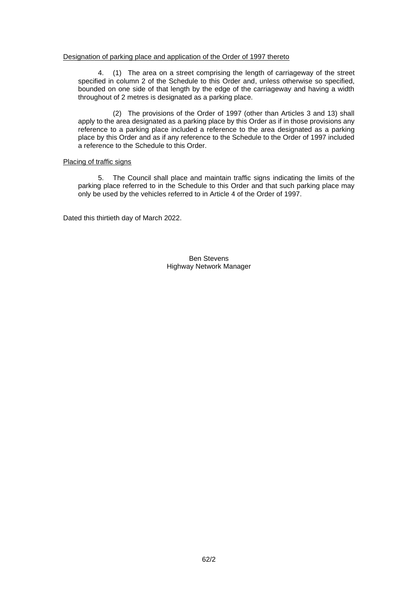#### Designation of parking place and application of the Order of 1997 thereto

4. (1) The area on a street comprising the length of carriageway of the street specified in column 2 of the Schedule to this Order and, unless otherwise so specified, bounded on one side of that length by the edge of the carriageway and having a width throughout of 2 metres is designated as a parking place.

(2) The provisions of the Order of 1997 (other than Articles 3 and 13) shall apply to the area designated as a parking place by this Order as if in those provisions any reference to a parking place included a reference to the area designated as a parking place by this Order and as if any reference to the Schedule to the Order of 1997 included a reference to the Schedule to this Order.

#### Placing of traffic signs

5. The Council shall place and maintain traffic signs indicating the limits of the parking place referred to in the Schedule to this Order and that such parking place may only be used by the vehicles referred to in Article 4 of the Order of 1997.

Dated this thirtieth day of March 2022.

Ben Stevens Highway Network Manager